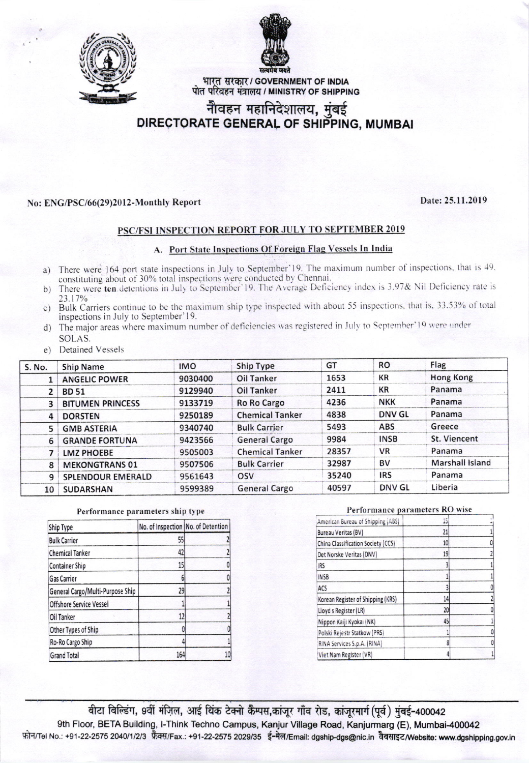



भारत सरकार / GOVERNMENT OF INDIA पोत परिवहन मंत्रालय / MINISTRY OF SHIPPING

# नीवहन महानिदेशालय, मुंबई<br>DIRECTORATE GENERAL OF SHIPPING, MUMBAI

### No: ENG/PSC/66(29)2012-Monthly Report

## Date: 25.11.2019

### PSC/FSI INSPECTION REPORT FOR JULY TO SEPTEMBER 2019

#### A. Port State Inspections Of Foreign Flag Vessels In India

- a) There were 164 port state inspections in July to September'19. The maximum number of inspections, that is 49, constituting about of 30% total inspections were conducted by Chennai.
- b) There were ten detentions in July to September 19. The Average Deficiency index is 3.97& Nil Deficiency rate is 23.17%
- c) Bulk Carriers continue to be the maximum ship type inspected with about 55 inspections, that is, 33.53% of total inspections in July to September'19.
- d) The major areas where maximum number of deficiencies was registered in July to September'19 were under SOLAS.
- e) Detained Vessels

| S. No.         | <b>Ship Name</b>        | <b>IMO</b> | <b>Ship Type</b>       | GT    | <b>RO</b>     | Flag                   |
|----------------|-------------------------|------------|------------------------|-------|---------------|------------------------|
|                | <b>ANGELIC POWER</b>    | 9030400    | <b>Oil Tanker</b>      | 1653  | <b>KR</b>     | <b>Hong Kong</b>       |
| 2              | <b>BD 51</b>            | 9129940    | Oil Tanker             | 2411  | <b>KR</b>     | Panama                 |
| 3              | <b>BITUMEN PRINCESS</b> | 9133719    | <b>Ro Ro Cargo</b>     | 4236  | <b>NKK</b>    | Panama                 |
| $\overline{4}$ | <b>DORSTEN</b>          | 9250189    | <b>Chemical Tanker</b> | 4838  | <b>DNV GL</b> | Panama                 |
| 5              | <b>GMB ASTERIA</b>      | 9340740    | <b>Bulk Carrier</b>    | 5493  | <b>ABS</b>    | Greece                 |
| 6              | <b>GRANDE FORTUNA</b>   | 9423566    | <b>General Cargo</b>   | 9984  | <b>INSB</b>   | St. Viencent           |
|                | <b>LMZ PHOEBE</b>       | 9505003    | <b>Chemical Tanker</b> | 28357 | <b>VR</b>     | Panama                 |
| 8              | <b>MEKONGTRANS 01</b>   | 9507506    | <b>Bulk Carrier</b>    | 32987 | <b>BV</b>     | <b>Marshall Island</b> |
| 9              | SPLENDOUR EMERALD       | 9561643    | OSV                    | 35240 | <b>IRS</b>    | Panama                 |
| 10             | <b>SUDARSHAN</b>        | 9599389    | <b>General Cargo</b>   | 40597 | DNV GL        | Liberia                |

#### Performance parameters ship type

| Ship Type                        | No. of Inspection No. of Detention |    |  |
|----------------------------------|------------------------------------|----|--|
| <b>Bulk Carrier</b>              | 55                                 |    |  |
| <b>Chemical Tanker</b>           | 42                                 |    |  |
| <b>Container Ship</b>            | 15                                 |    |  |
| <b>Gas Carrier</b>               | 6                                  |    |  |
| General Cargo/Multi-Purpose Ship | 29                                 |    |  |
| Offshore Service Vessel          |                                    |    |  |
| Oil Tanker                       | 12                                 |    |  |
| Other Types of Ship              |                                    |    |  |
| Ro-Ro Cargo Ship                 |                                    |    |  |
| <b>Grand Total</b>               | 164                                | 10 |  |

#### Performance parameters RO wise

| American Bureau of Shipping (ABS)  | 15 |  |
|------------------------------------|----|--|
| <b>Bureau Veritas (BV)</b>         | 21 |  |
| China Classification Society (CCS) | 10 |  |
| Det Norske Veritas (DNV)           | 19 |  |
| <b>IRS</b>                         |    |  |
| <b>INSB</b>                        |    |  |
| ACS                                |    |  |
| Korean Register of Shipping (KRS)  | 14 |  |
| Lloyd s Register (LR)              | 20 |  |
| Nippon Kaiji Kyokai (NK)           | 45 |  |
| Polski Rejestr Statkow (PRS)       |    |  |
| RINA Services S.p.A. (RINA)        | 8  |  |
| Viet Nam Register (VR)             |    |  |

बीटा बिल्डिंग, 9वीं मंज़िल, आई थिंक टेक्नो कैम्पस,कांजुर गाँव रोड, कांजुरमार्ग(पूर्व) मुंबई-400042 9th Floor, BETA Building, I-Think Techno Campus, Kanjur Village Road, Kanjurmarg (E), Mumbai-400042 फोन/Tel No.: +91-22-2575 2040/1/2/3 फ़ैक्स/Fax.: +91-22-2575 2029/35 ई-मेल/Email: dgship-dgs@nic.in वैबसाइट/Website: www.dgshipping.gov.in